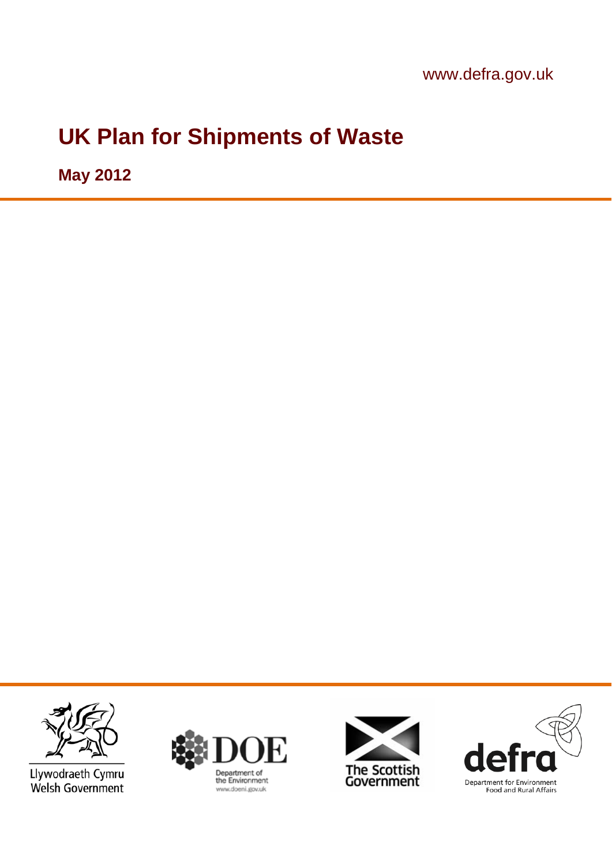www.defra.gov.uk

# **UK Plan for Shipments of Waste**

**May 2012**



Llywodraeth Cymru Welsh Government





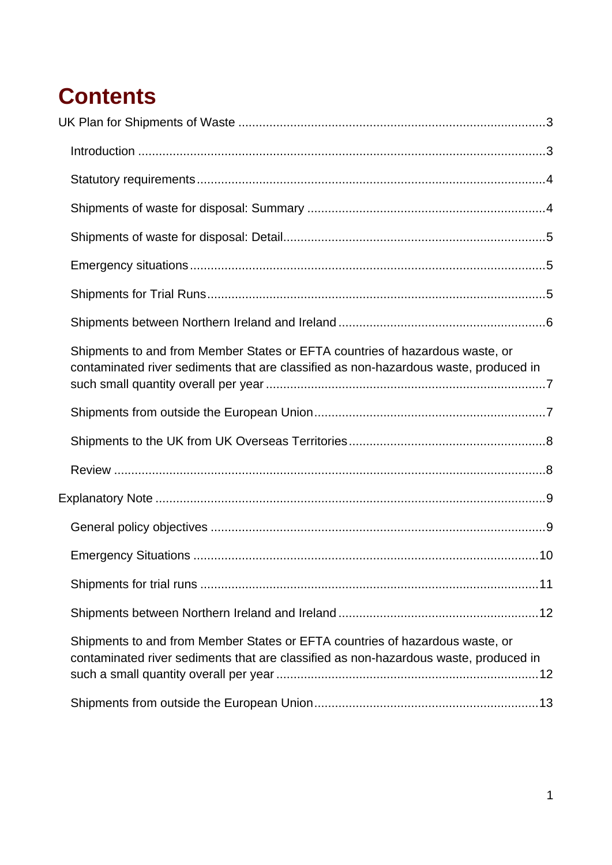# **Contents**

| Shipments to and from Member States or EFTA countries of hazardous waste, or<br>contaminated river sediments that are classified as non-hazardous waste, produced in |  |
|----------------------------------------------------------------------------------------------------------------------------------------------------------------------|--|
|                                                                                                                                                                      |  |
|                                                                                                                                                                      |  |
|                                                                                                                                                                      |  |
|                                                                                                                                                                      |  |
|                                                                                                                                                                      |  |
|                                                                                                                                                                      |  |
|                                                                                                                                                                      |  |
|                                                                                                                                                                      |  |
| Shipments to and from Member States or EFTA countries of hazardous waste, or<br>contaminated river sediments that are classified as non-hazardous waste, produced in |  |
|                                                                                                                                                                      |  |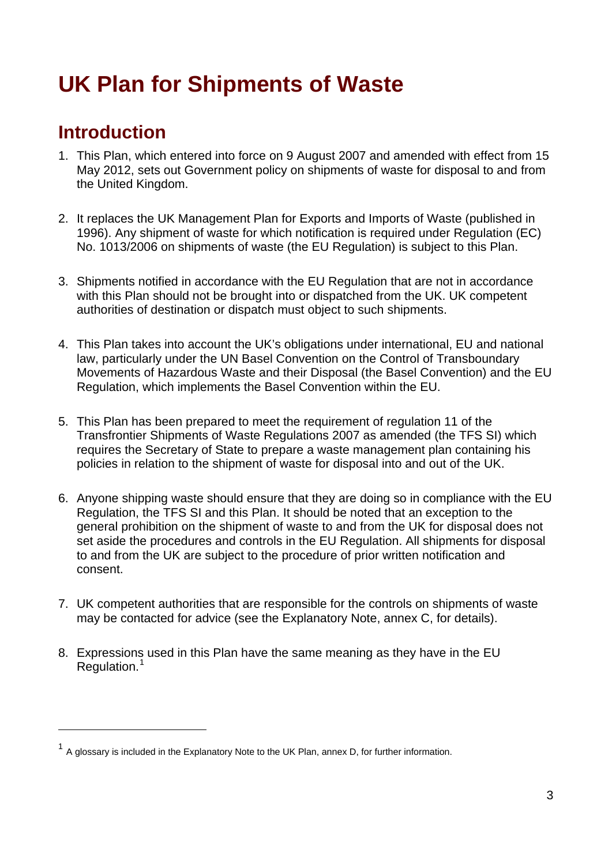# <span id="page-3-0"></span>**UK Plan for Shipments of Waste**

## **Introduction**

 $\overline{a}$ 

- 1. This Plan, which entered into force on 9 August 2007 and amended with effect from 15 May 2012, sets out Government policy on shipments of waste for disposal to and from the United Kingdom.
- 2. It replaces the UK Management Plan for Exports and Imports of Waste (published in 1996). Any shipment of waste for which notification is required under Regulation (EC) No. 1013/2006 on shipments of waste (the EU Regulation) is subject to this Plan.
- 3. Shipments notified in accordance with the EU Regulation that are not in accordance with this Plan should not be brought into or dispatched from the UK. UK competent authorities of destination or dispatch must object to such shipments.
- 4. This Plan takes into account the UK's obligations under international, EU and national law, particularly under the UN Basel Convention on the Control of Transboundary Movements of Hazardous Waste and their Disposal (the Basel Convention) and the EU Regulation, which implements the Basel Convention within the EU.
- 5. This Plan has been prepared to meet the requirement of regulation 11 of the Transfrontier Shipments of Waste Regulations 2007 as amended (the TFS SI) which requires the Secretary of State to prepare a waste management plan containing his policies in relation to the shipment of waste for disposal into and out of the UK.
- 6. Anyone shipping waste should ensure that they are doing so in compliance with the EU Regulation, the TFS SI and this Plan. It should be noted that an exception to the general prohibition on the shipment of waste to and from the UK for disposal does not set aside the procedures and controls in the EU Regulation. All shipments for disposal to and from the UK are subject to the procedure of prior written notification and consent.
- 7. UK competent authorities that are responsible for the controls on shipments of waste may be contacted for advice (see the Explanatory Note, annex C, for details).
- 8. Expressions used in this Plan have the same meaning as they have in the EU Regulation.<sup>[1](#page-3-1)</sup>

<span id="page-3-1"></span><sup>&</sup>lt;sup>1</sup> A glossary is included in the Explanatory Note to the UK Plan, annex D, for further information.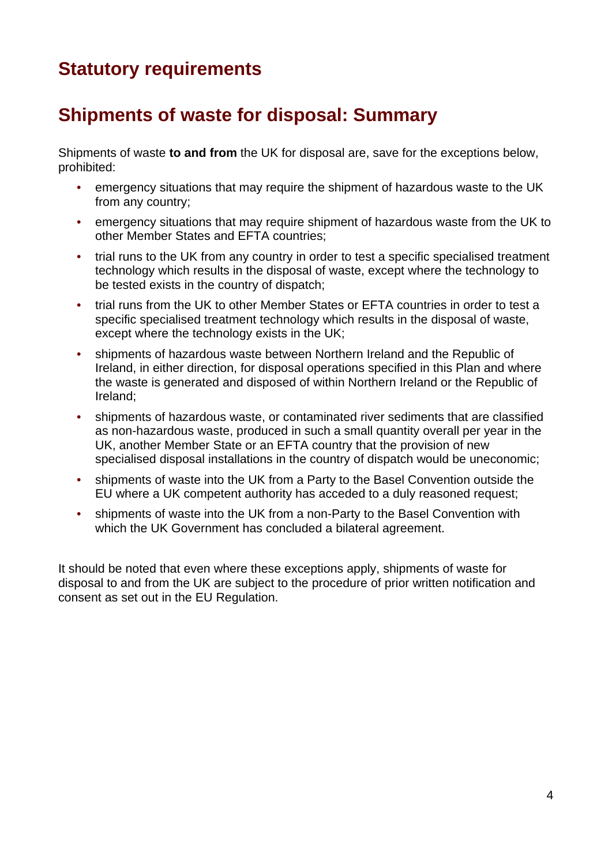# <span id="page-4-0"></span>**Statutory requirements**

# **Shipments of waste for disposal: Summary**

Shipments of waste **to and from** the UK for disposal are, save for the exceptions below, prohibited:

- emergency situations that may require the shipment of hazardous waste to the UK from any country;
- emergency situations that may require shipment of hazardous waste from the UK to other Member States and EFTA countries;
- trial runs to the UK from any country in order to test a specific specialised treatment technology which results in the disposal of waste, except where the technology to be tested exists in the country of dispatch;
- trial runs from the UK to other Member States or EFTA countries in order to test a specific specialised treatment technology which results in the disposal of waste, except where the technology exists in the UK;
- shipments of hazardous waste between Northern Ireland and the Republic of Ireland, in either direction, for disposal operations specified in this Plan and where the waste is generated and disposed of within Northern Ireland or the Republic of Ireland;
- shipments of hazardous waste, or contaminated river sediments that are classified as non-hazardous waste, produced in such a small quantity overall per year in the UK, another Member State or an EFTA country that the provision of new specialised disposal installations in the country of dispatch would be uneconomic;
- shipments of waste into the UK from a Party to the Basel Convention outside the EU where a UK competent authority has acceded to a duly reasoned request;
- shipments of waste into the UK from a non-Party to the Basel Convention with which the UK Government has concluded a bilateral agreement.

It should be noted that even where these exceptions apply, shipments of waste for disposal to and from the UK are subject to the procedure of prior written notification and consent as set out in the EU Regulation.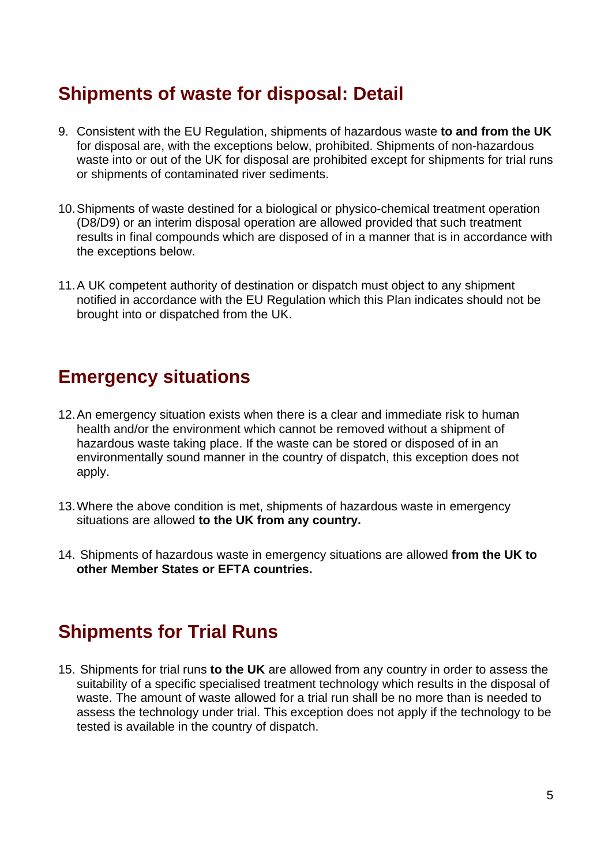## <span id="page-5-0"></span>**Shipments of waste for disposal: Detail**

- 9. Consistent with the EU Regulation, shipments of hazardous waste **to and from the UK**  for disposal are, with the exceptions below, prohibited. Shipments of non-hazardous waste into or out of the UK for disposal are prohibited except for shipments for trial runs or shipments of contaminated river sediments.
- 10. Shipments of waste destined for a biological or physico-chemical treatment operation (D8/D9) or an interim disposal operation are allowed provided that such treatment results in final compounds which are disposed of in a manner that is in accordance with the exceptions below.
- 11. A UK competent authority of destination or dispatch must object to any shipment notified in accordance with the EU Regulation which this Plan indicates should not be brought into or dispatched from the UK.

### **Emergency situations**

- 12. An emergency situation exists when there is a clear and immediate risk to human health and/or the environment which cannot be removed without a shipment of hazardous waste taking place. If the waste can be stored or disposed of in an environmentally sound manner in the country of dispatch, this exception does not apply.
- 13. Where the above condition is met, shipments of hazardous waste in emergency situations are allowed **to the UK from any country.**
- 14. Shipments of hazardous waste in emergency situations are allowed **from the UK to other Member States or EFTA countries.**

### **Shipments for Trial Runs**

15. Shipments for trial runs **to the UK** are allowed from any country in order to assess the suitability of a specific specialised treatment technology which results in the disposal of waste. The amount of waste allowed for a trial run shall be no more than is needed to assess the technology under trial. This exception does not apply if the technology to be tested is available in the country of dispatch.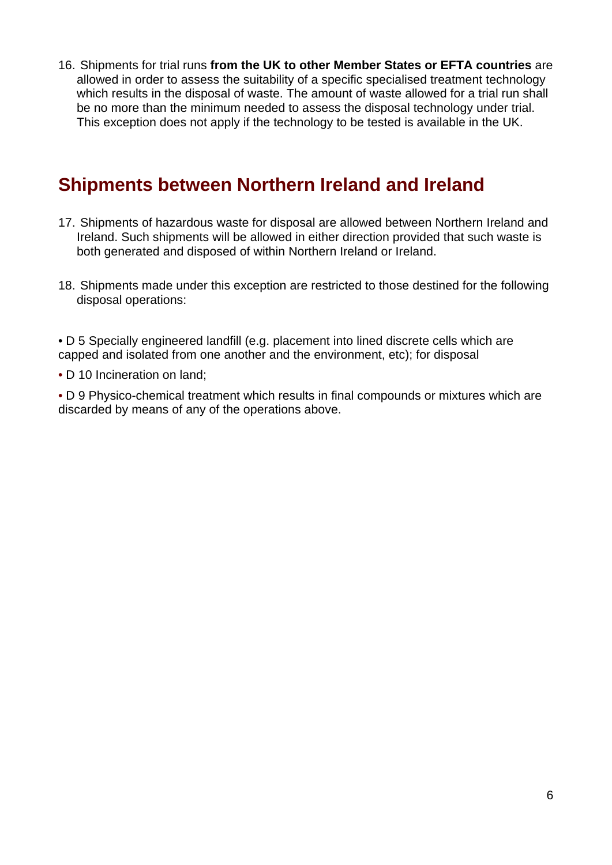<span id="page-6-0"></span>16. Shipments for trial runs **from the UK to other Member States or EFTA countries** are allowed in order to assess the suitability of a specific specialised treatment technology which results in the disposal of waste. The amount of waste allowed for a trial run shall be no more than the minimum needed to assess the disposal technology under trial. This exception does not apply if the technology to be tested is available in the UK.

### **Shipments between Northern Ireland and Ireland**

- 17. Shipments of hazardous waste for disposal are allowed between Northern Ireland and Ireland. Such shipments will be allowed in either direction provided that such waste is both generated and disposed of within Northern Ireland or Ireland.
- 18. Shipments made under this exception are restricted to those destined for the following disposal operations:

• D 5 Specially engineered landfill (e.g. placement into lined discrete cells which are capped and isolated from one another and the environment, etc); for disposal

• D 10 Incineration on land;

• D 9 Physico-chemical treatment which results in final compounds or mixtures which are discarded by means of any of the operations above.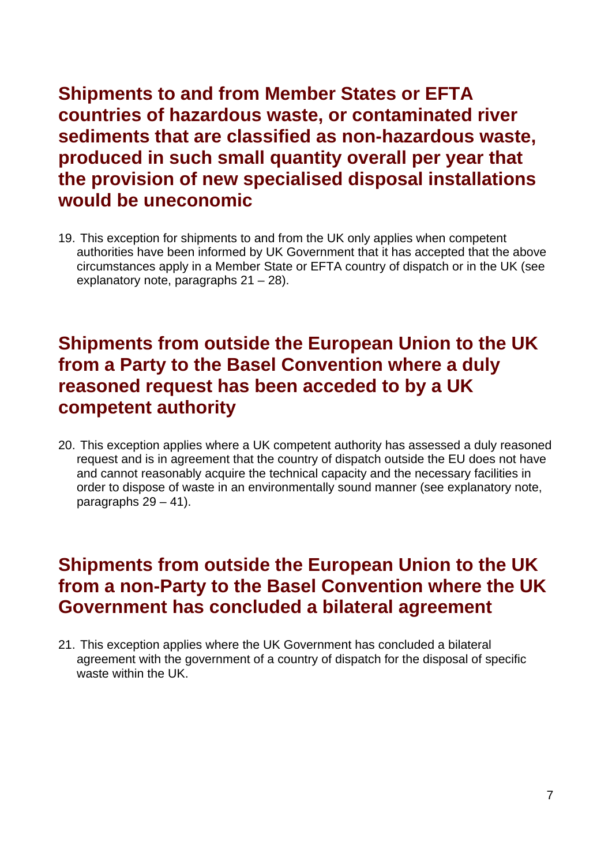<span id="page-7-0"></span>**Shipments to and from Member States or EFTA countries of hazardous waste, or contaminated river sediments that are classified as non-hazardous waste, produced in such small quantity overall per year that the provision of new specialised disposal installations would be uneconomic** 

19. This exception for shipments to and from the UK only applies when competent authorities have been informed by UK Government that it has accepted that the above circumstances apply in a Member State or EFTA country of dispatch or in the UK (see explanatory note, paragraphs 21 – 28).

### **Shipments from outside the European Union to the UK from a Party to the Basel Convention where a duly reasoned request has been acceded to by a UK competent authority**

20. This exception applies where a UK competent authority has assessed a duly reasoned request and is in agreement that the country of dispatch outside the EU does not have and cannot reasonably acquire the technical capacity and the necessary facilities in order to dispose of waste in an environmentally sound manner (see explanatory note, paragraphs  $29 - 41$ ).

### **Shipments from outside the European Union to the UK from a non-Party to the Basel Convention where the UK Government has concluded a bilateral agreement**

21. This exception applies where the UK Government has concluded a bilateral agreement with the government of a country of dispatch for the disposal of specific waste within the UK.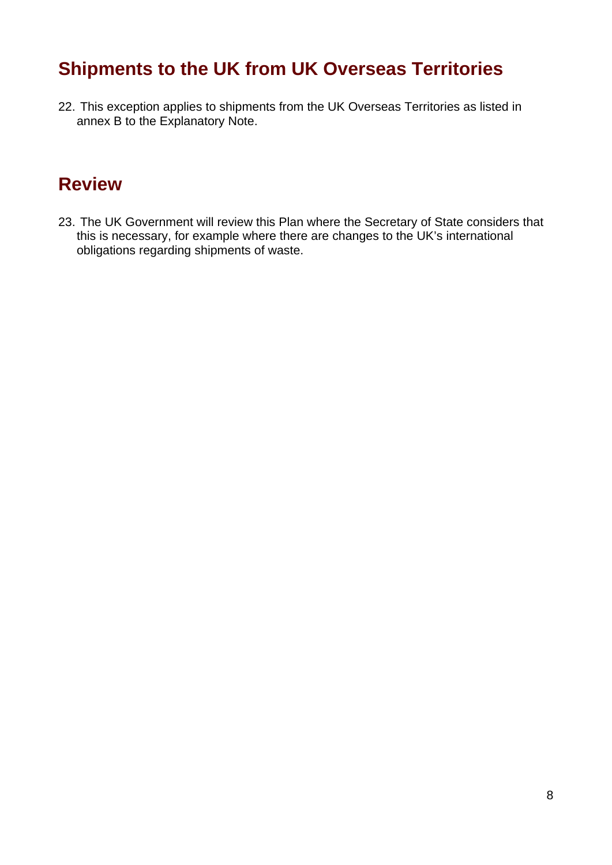### <span id="page-8-0"></span>**Shipments to the UK from UK Overseas Territories**

22. This exception applies to shipments from the UK Overseas Territories as listed in annex B to the Explanatory Note.

## **Review**

23. The UK Government will review this Plan where the Secretary of State considers that this is necessary, for example where there are changes to the UK's international obligations regarding shipments of waste.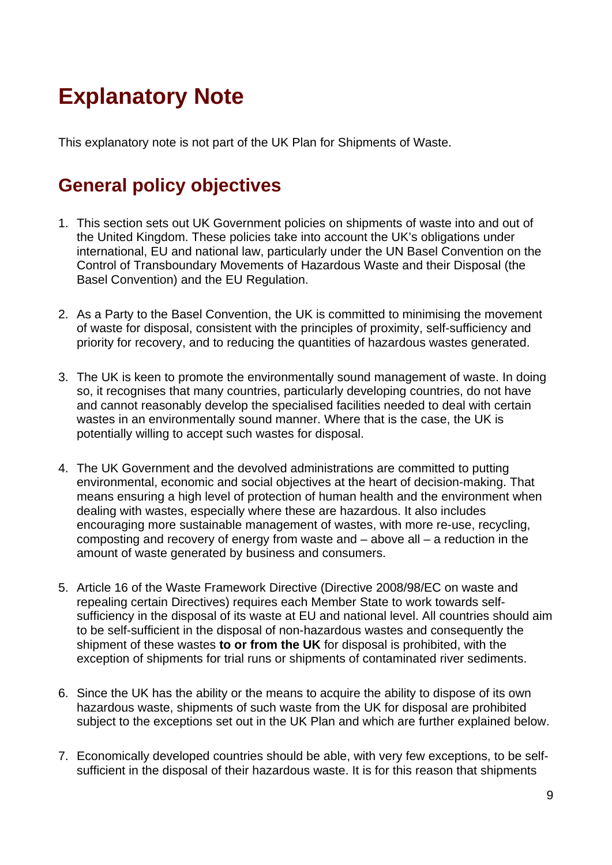# <span id="page-9-0"></span>**Explanatory Note**

This explanatory note is not part of the UK Plan for Shipments of Waste.

# **General policy objectives**

- 1. This section sets out UK Government policies on shipments of waste into and out of the United Kingdom. These policies take into account the UK's obligations under international, EU and national law, particularly under the UN Basel Convention on the Control of Transboundary Movements of Hazardous Waste and their Disposal (the Basel Convention) and the EU Regulation.
- 2. As a Party to the Basel Convention, the UK is committed to minimising the movement of waste for disposal, consistent with the principles of proximity, self-sufficiency and priority for recovery, and to reducing the quantities of hazardous wastes generated.
- 3. The UK is keen to promote the environmentally sound management of waste. In doing so, it recognises that many countries, particularly developing countries, do not have and cannot reasonably develop the specialised facilities needed to deal with certain wastes in an environmentally sound manner. Where that is the case, the UK is potentially willing to accept such wastes for disposal.
- 4. The UK Government and the devolved administrations are committed to putting environmental, economic and social objectives at the heart of decision-making. That means ensuring a high level of protection of human health and the environment when dealing with wastes, especially where these are hazardous. It also includes encouraging more sustainable management of wastes, with more re-use, recycling, composting and recovery of energy from waste and  $-$  above all  $-$  a reduction in the amount of waste generated by business and consumers.
- 5. Article 16 of the Waste Framework Directive (Directive 2008/98/EC on waste and repealing certain Directives) requires each Member State to work towards selfsufficiency in the disposal of its waste at EU and national level. All countries should aim to be self-sufficient in the disposal of non-hazardous wastes and consequently the shipment of these wastes **to or from the UK** for disposal is prohibited, with the exception of shipments for trial runs or shipments of contaminated river sediments.
- 6. Since the UK has the ability or the means to acquire the ability to dispose of its own hazardous waste, shipments of such waste from the UK for disposal are prohibited subject to the exceptions set out in the UK Plan and which are further explained below.
- 7. Economically developed countries should be able, with very few exceptions, to be selfsufficient in the disposal of their hazardous waste. It is for this reason that shipments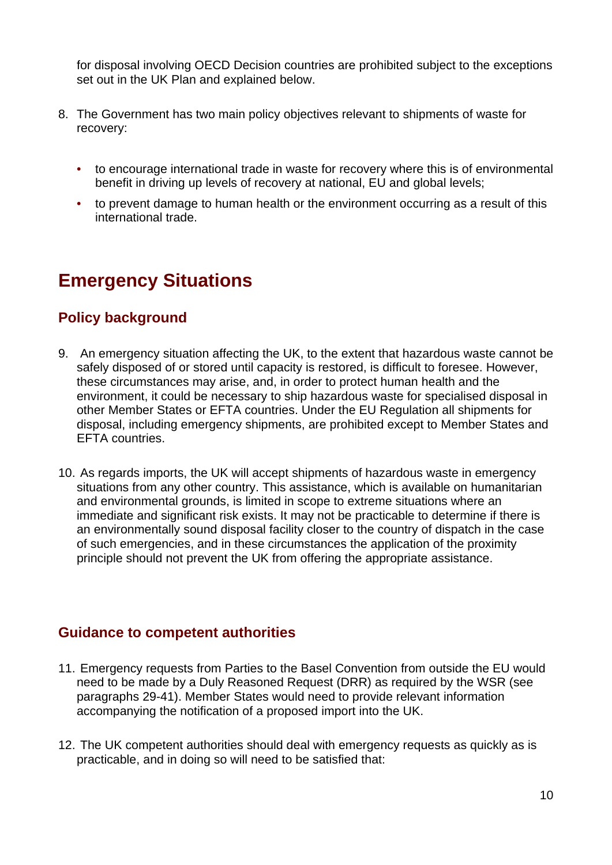<span id="page-10-0"></span>for disposal involving OECD Decision countries are prohibited subject to the exceptions set out in the UK Plan and explained below.

- 8. The Government has two main policy objectives relevant to shipments of waste for recovery:
	- to encourage international trade in waste for recovery where this is of environmental benefit in driving up levels of recovery at national, EU and global levels;
	- to prevent damage to human health or the environment occurring as a result of this international trade.

# **Emergency Situations**

### **Policy background**

- 9. An emergency situation affecting the UK, to the extent that hazardous waste cannot be safely disposed of or stored until capacity is restored, is difficult to foresee. However, these circumstances may arise, and, in order to protect human health and the environment, it could be necessary to ship hazardous waste for specialised disposal in other Member States or EFTA countries. Under the EU Regulation all shipments for disposal, including emergency shipments, are prohibited except to Member States and EFTA countries.
- 10. As regards imports, the UK will accept shipments of hazardous waste in emergency situations from any other country. This assistance, which is available on humanitarian and environmental grounds, is limited in scope to extreme situations where an immediate and significant risk exists. It may not be practicable to determine if there is an environmentally sound disposal facility closer to the country of dispatch in the case of such emergencies, and in these circumstances the application of the proximity principle should not prevent the UK from offering the appropriate assistance.

### **Guidance to competent authorities**

- 11. Emergency requests from Parties to the Basel Convention from outside the EU would need to be made by a Duly Reasoned Request (DRR) as required by the WSR (see paragraphs 29-41). Member States would need to provide relevant information accompanying the notification of a proposed import into the UK.
- 12. The UK competent authorities should deal with emergency requests as quickly as is practicable, and in doing so will need to be satisfied that: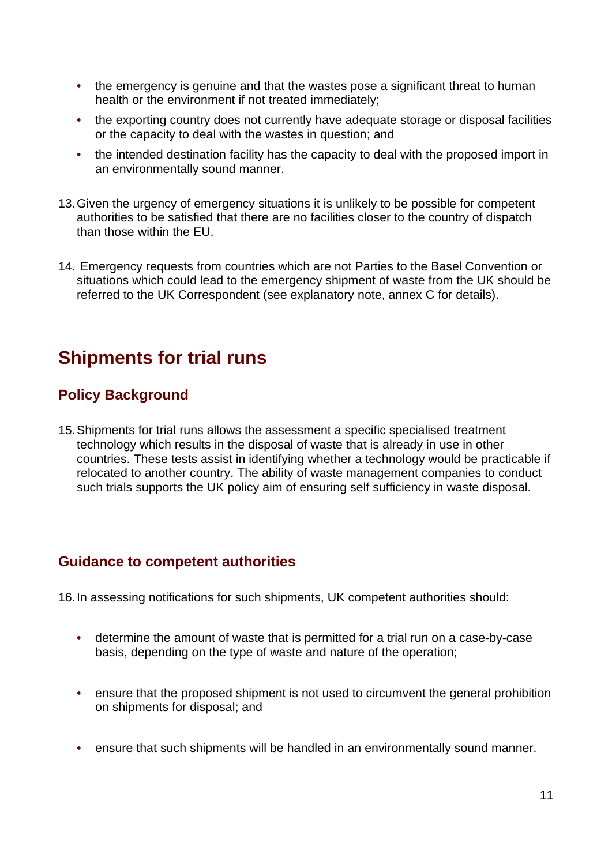- <span id="page-11-0"></span>• the emergency is genuine and that the wastes pose a significant threat to human health or the environment if not treated immediately;
- the exporting country does not currently have adequate storage or disposal facilities or the capacity to deal with the wastes in question; and
- the intended destination facility has the capacity to deal with the proposed import in an environmentally sound manner.
- 13. Given the urgency of emergency situations it is unlikely to be possible for competent authorities to be satisfied that there are no facilities closer to the country of dispatch than those within the EU.
- 14. Emergency requests from countries which are not Parties to the Basel Convention or situations which could lead to the emergency shipment of waste from the UK should be referred to the UK Correspondent (see explanatory note, annex C for details).

### **Shipments for trial runs**

### **Policy Background**

15. Shipments for trial runs allows the assessment a specific specialised treatment technology which results in the disposal of waste that is already in use in other countries. These tests assist in identifying whether a technology would be practicable if relocated to another country. The ability of waste management companies to conduct such trials supports the UK policy aim of ensuring self sufficiency in waste disposal.

### **Guidance to competent authorities**

16. In assessing notifications for such shipments, UK competent authorities should:

- determine the amount of waste that is permitted for a trial run on a case-by-case basis, depending on the type of waste and nature of the operation;
- ensure that the proposed shipment is not used to circumvent the general prohibition on shipments for disposal; and
- ensure that such shipments will be handled in an environmentally sound manner.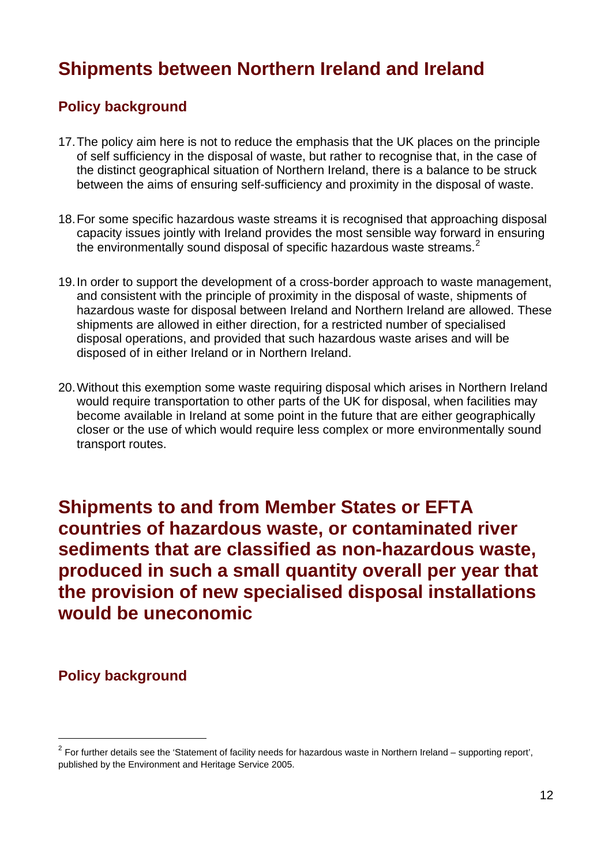## <span id="page-12-0"></span>**Shipments between Northern Ireland and Ireland**

### **Policy background**

- 17. The policy aim here is not to reduce the emphasis that the UK places on the principle of self sufficiency in the disposal of waste, but rather to recognise that, in the case of the distinct geographical situation of Northern Ireland, there is a balance to be struck between the aims of ensuring self-sufficiency and proximity in the disposal of waste.
- 18. For some specific hazardous waste streams it is recognised that approaching disposal capacity issues jointly with Ireland provides the most sensible way forward in ensuring the environmentally sound disposal of specific hazardous waste streams.<sup>[2](#page-12-1)</sup>
- 19. In order to support the development of a cross-border approach to waste management, and consistent with the principle of proximity in the disposal of waste, shipments of hazardous waste for disposal between Ireland and Northern Ireland are allowed. These shipments are allowed in either direction, for a restricted number of specialised disposal operations, and provided that such hazardous waste arises and will be disposed of in either Ireland or in Northern Ireland.
- 20. Without this exemption some waste requiring disposal which arises in Northern Ireland would require transportation to other parts of the UK for disposal, when facilities may become available in Ireland at some point in the future that are either geographically closer or the use of which would require less complex or more environmentally sound transport routes.

**Shipments to and from Member States or EFTA countries of hazardous waste, or contaminated river sediments that are classified as non-hazardous waste, produced in such a small quantity overall per year that the provision of new specialised disposal installations would be uneconomic** 

### **Policy background**

 $\overline{a}$ 

<span id="page-12-1"></span> $2$  For further details see the 'Statement of facility needs for hazardous waste in Northern Ireland – supporting report', published by the Environment and Heritage Service 2005.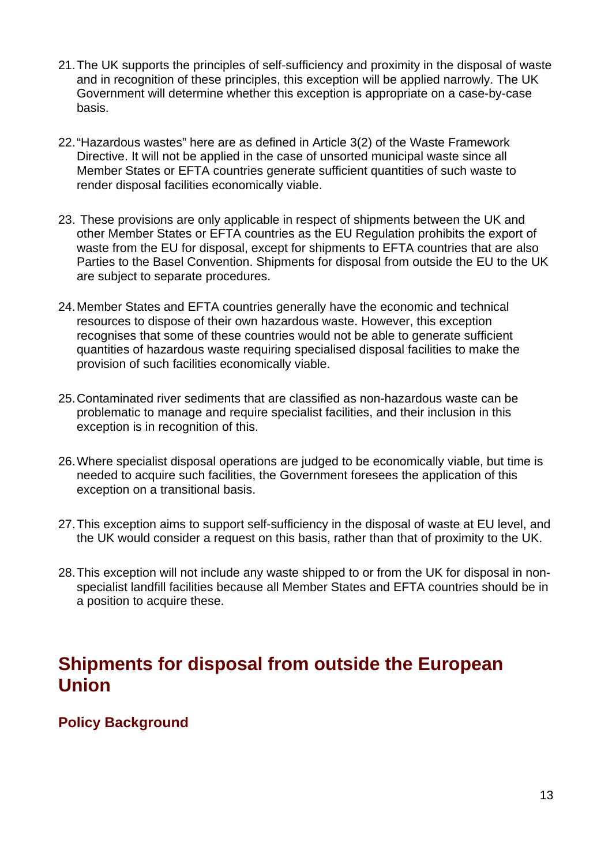- <span id="page-13-0"></span>21. The UK supports the principles of self-sufficiency and proximity in the disposal of waste and in recognition of these principles, this exception will be applied narrowly. The UK Government will determine whether this exception is appropriate on a case-by-case basis.
- 22. "Hazardous wastes" here are as defined in Article 3(2) of the Waste Framework Directive. It will not be applied in the case of unsorted municipal waste since all Member States or EFTA countries generate sufficient quantities of such waste to render disposal facilities economically viable.
- 23. These provisions are only applicable in respect of shipments between the UK and other Member States or EFTA countries as the EU Regulation prohibits the export of waste from the EU for disposal, except for shipments to EFTA countries that are also Parties to the Basel Convention. Shipments for disposal from outside the EU to the UK are subject to separate procedures.
- 24. Member States and EFTA countries generally have the economic and technical resources to dispose of their own hazardous waste. However, this exception recognises that some of these countries would not be able to generate sufficient quantities of hazardous waste requiring specialised disposal facilities to make the provision of such facilities economically viable.
- 25. Contaminated river sediments that are classified as non-hazardous waste can be problematic to manage and require specialist facilities, and their inclusion in this exception is in recognition of this.
- 26. Where specialist disposal operations are judged to be economically viable, but time is needed to acquire such facilities, the Government foresees the application of this exception on a transitional basis.
- 27. This exception aims to support self-sufficiency in the disposal of waste at EU level, and the UK would consider a request on this basis, rather than that of proximity to the UK.
- 28. This exception will not include any waste shipped to or from the UK for disposal in nonspecialist landfill facilities because all Member States and EFTA countries should be in a position to acquire these.

### **Shipments for disposal from outside the European Union**

### **Policy Background**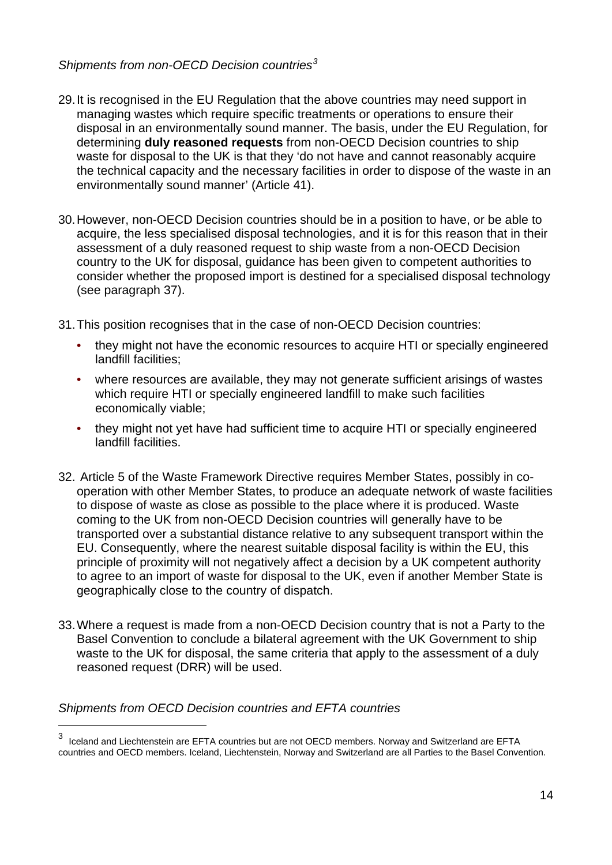#### *Shipments from non-OECD Decision countries[3](#page-14-0)*

- 29. It is recognised in the EU Regulation that the above countries may need support in managing wastes which require specific treatments or operations to ensure their disposal in an environmentally sound manner. The basis, under the EU Regulation, for determining **duly reasoned requests** from non-OECD Decision countries to ship waste for disposal to the UK is that they 'do not have and cannot reasonably acquire the technical capacity and the necessary facilities in order to dispose of the waste in an environmentally sound manner' (Article 41).
- 30. However, non-OECD Decision countries should be in a position to have, or be able to acquire, the less specialised disposal technologies, and it is for this reason that in their assessment of a duly reasoned request to ship waste from a non-OECD Decision country to the UK for disposal, guidance has been given to competent authorities to consider whether the proposed import is destined for a specialised disposal technology (see paragraph 37).

31. This position recognises that in the case of non-OECD Decision countries:

- they might not have the economic resources to acquire HTI or specially engineered landfill facilities;
- where resources are available, they may not generate sufficient arisings of wastes which require HTI or specially engineered landfill to make such facilities economically viable;
- they might not yet have had sufficient time to acquire HTI or specially engineered landfill facilities.
- 32. Article 5 of the Waste Framework Directive requires Member States, possibly in cooperation with other Member States, to produce an adequate network of waste facilities to dispose of waste as close as possible to the place where it is produced. Waste coming to the UK from non-OECD Decision countries will generally have to be transported over a substantial distance relative to any subsequent transport within the EU. Consequently, where the nearest suitable disposal facility is within the EU, this principle of proximity will not negatively affect a decision by a UK competent authority to agree to an import of waste for disposal to the UK, even if another Member State is geographically close to the country of dispatch.
- 33. Where a request is made from a non-OECD Decision country that is not a Party to the Basel Convention to conclude a bilateral agreement with the UK Government to ship waste to the UK for disposal, the same criteria that apply to the assessment of a duly reasoned request (DRR) will be used.

#### *Shipments from OECD Decision countries and EFTA countries*

 $\overline{a}$ 

<span id="page-14-0"></span><sup>3</sup> Iceland and Liechtenstein are EFTA countries but are not OECD members. Norway and Switzerland are EFTA countries and OECD members. Iceland, Liechtenstein, Norway and Switzerland are all Parties to the Basel Convention.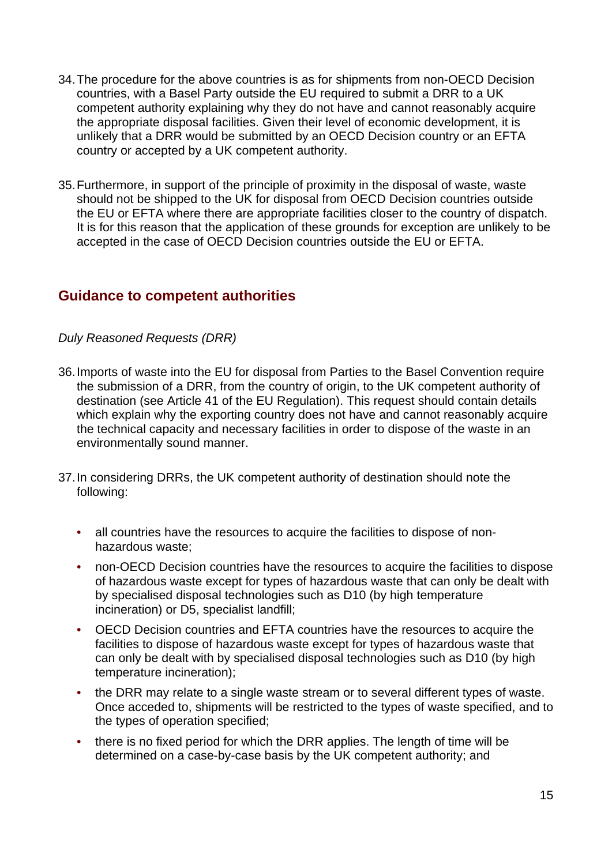- 34. The procedure for the above countries is as for shipments from non-OECD Decision countries, with a Basel Party outside the EU required to submit a DRR to a UK competent authority explaining why they do not have and cannot reasonably acquire the appropriate disposal facilities. Given their level of economic development, it is unlikely that a DRR would be submitted by an OECD Decision country or an EFTA country or accepted by a UK competent authority.
- 35. Furthermore, in support of the principle of proximity in the disposal of waste, waste should not be shipped to the UK for disposal from OECD Decision countries outside the EU or EFTA where there are appropriate facilities closer to the country of dispatch. It is for this reason that the application of these grounds for exception are unlikely to be accepted in the case of OECD Decision countries outside the EU or EFTA.

#### **Guidance to competent authorities**

#### *Duly Reasoned Requests (DRR)*

- 36. Imports of waste into the EU for disposal from Parties to the Basel Convention require the submission of a DRR, from the country of origin, to the UK competent authority of destination (see Article 41 of the EU Regulation). This request should contain details which explain why the exporting country does not have and cannot reasonably acquire the technical capacity and necessary facilities in order to dispose of the waste in an environmentally sound manner.
- 37. In considering DRRs, the UK competent authority of destination should note the following:
	- all countries have the resources to acquire the facilities to dispose of nonhazardous waste;
	- non-OECD Decision countries have the resources to acquire the facilities to dispose of hazardous waste except for types of hazardous waste that can only be dealt with by specialised disposal technologies such as D10 (by high temperature incineration) or D5, specialist landfill;
	- OECD Decision countries and EFTA countries have the resources to acquire the facilities to dispose of hazardous waste except for types of hazardous waste that can only be dealt with by specialised disposal technologies such as D10 (by high temperature incineration);
	- the DRR may relate to a single waste stream or to several different types of waste. Once acceded to, shipments will be restricted to the types of waste specified, and to the types of operation specified;
	- there is no fixed period for which the DRR applies. The length of time will be determined on a case-by-case basis by the UK competent authority; and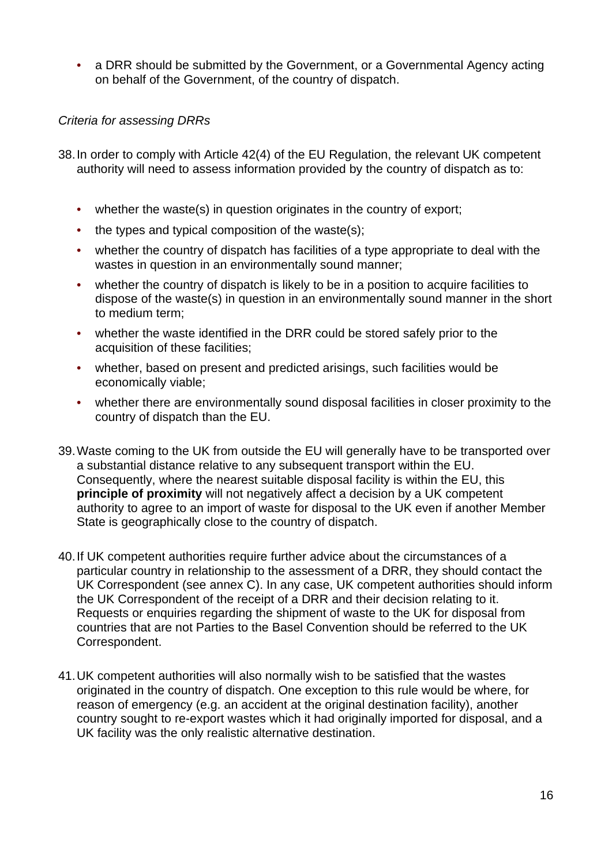• a DRR should be submitted by the Government, or a Governmental Agency acting on behalf of the Government, of the country of dispatch.

#### *Criteria for assessing DRRs*

- 38. In order to comply with Article 42(4) of the EU Regulation, the relevant UK competent authority will need to assess information provided by the country of dispatch as to:
	- whether the waste(s) in question originates in the country of export;
	- the types and typical composition of the waste(s);
	- whether the country of dispatch has facilities of a type appropriate to deal with the wastes in question in an environmentally sound manner;
	- whether the country of dispatch is likely to be in a position to acquire facilities to dispose of the waste(s) in question in an environmentally sound manner in the short to medium term;
	- whether the waste identified in the DRR could be stored safely prior to the acquisition of these facilities;
	- whether, based on present and predicted arisings, such facilities would be economically viable;
	- whether there are environmentally sound disposal facilities in closer proximity to the country of dispatch than the EU.
- 39. Waste coming to the UK from outside the EU will generally have to be transported over a substantial distance relative to any subsequent transport within the EU. Consequently, where the nearest suitable disposal facility is within the EU, this **principle of proximity** will not negatively affect a decision by a UK competent authority to agree to an import of waste for disposal to the UK even if another Member State is geographically close to the country of dispatch.
- 40. If UK competent authorities require further advice about the circumstances of a particular country in relationship to the assessment of a DRR, they should contact the UK Correspondent (see annex C). In any case, UK competent authorities should inform the UK Correspondent of the receipt of a DRR and their decision relating to it. Requests or enquiries regarding the shipment of waste to the UK for disposal from countries that are not Parties to the Basel Convention should be referred to the UK Correspondent.
- 41. UK competent authorities will also normally wish to be satisfied that the wastes originated in the country of dispatch. One exception to this rule would be where, for reason of emergency (e.g. an accident at the original destination facility), another country sought to re-export wastes which it had originally imported for disposal, and a UK facility was the only realistic alternative destination.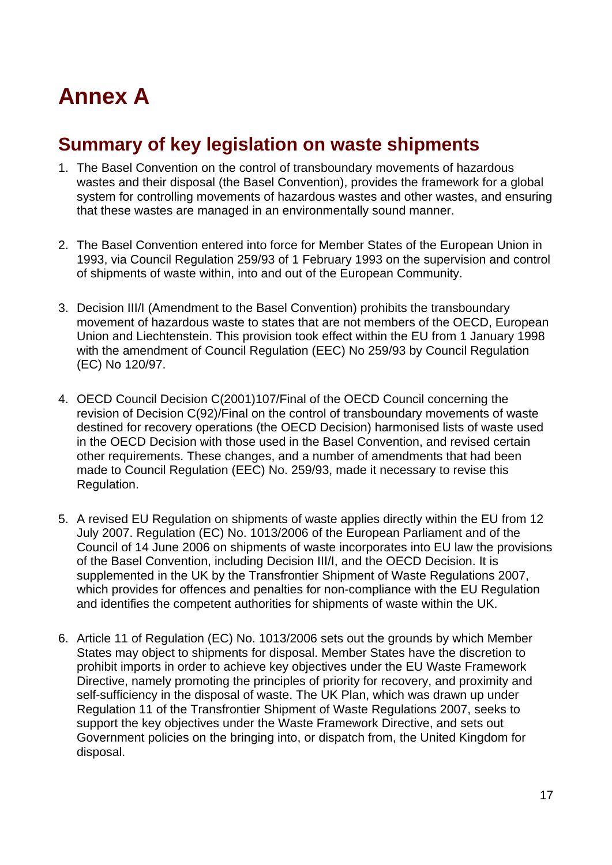# <span id="page-17-0"></span>**Annex A**

### **Summary of key legislation on waste shipments**

- 1. The Basel Convention on the control of transboundary movements of hazardous wastes and their disposal (the Basel Convention), provides the framework for a global system for controlling movements of hazardous wastes and other wastes, and ensuring that these wastes are managed in an environmentally sound manner.
- 2. The Basel Convention entered into force for Member States of the European Union in 1993, via Council Regulation 259/93 of 1 February 1993 on the supervision and control of shipments of waste within, into and out of the European Community.
- 3. Decision III/I (Amendment to the Basel Convention) prohibits the transboundary movement of hazardous waste to states that are not members of the OECD, European Union and Liechtenstein. This provision took effect within the EU from 1 January 1998 with the amendment of Council Regulation (EEC) No 259/93 by Council Regulation (EC) No 120/97.
- 4. OECD Council Decision C(2001)107/Final of the OECD Council concerning the revision of Decision C(92)/Final on the control of transboundary movements of waste destined for recovery operations (the OECD Decision) harmonised lists of waste used in the OECD Decision with those used in the Basel Convention, and revised certain other requirements. These changes, and a number of amendments that had been made to Council Regulation (EEC) No. 259/93, made it necessary to revise this Regulation.
- 5. A revised EU Regulation on shipments of waste applies directly within the EU from 12 July 2007. Regulation (EC) No. 1013/2006 of the European Parliament and of the Council of 14 June 2006 on shipments of waste incorporates into EU law the provisions of the Basel Convention, including Decision III/I, and the OECD Decision. It is supplemented in the UK by the Transfrontier Shipment of Waste Regulations 2007, which provides for offences and penalties for non-compliance with the EU Regulation and identifies the competent authorities for shipments of waste within the UK.
- 6. Article 11 of Regulation (EC) No. 1013/2006 sets out the grounds by which Member States may object to shipments for disposal. Member States have the discretion to prohibit imports in order to achieve key objectives under the EU Waste Framework Directive, namely promoting the principles of priority for recovery, and proximity and self-sufficiency in the disposal of waste. The UK Plan, which was drawn up under Regulation 11 of the Transfrontier Shipment of Waste Regulations 2007, seeks to support the key objectives under the Waste Framework Directive, and sets out Government policies on the bringing into, or dispatch from, the United Kingdom for disposal.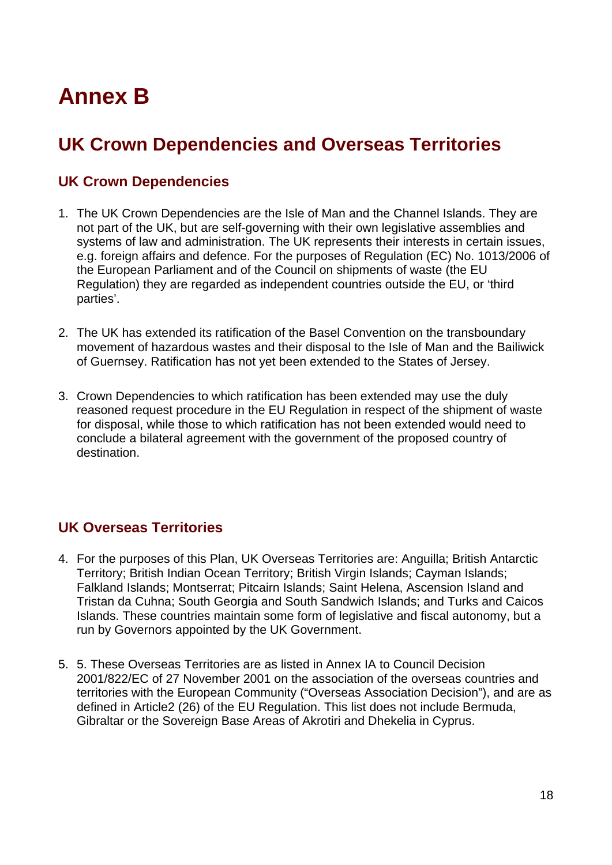# <span id="page-18-0"></span>**Annex B**

# **UK Crown Dependencies and Overseas Territories**

### **UK Crown Dependencies**

- 1. The UK Crown Dependencies are the Isle of Man and the Channel Islands. They are not part of the UK, but are self-governing with their own legislative assemblies and systems of law and administration. The UK represents their interests in certain issues, e.g. foreign affairs and defence. For the purposes of Regulation (EC) No. 1013/2006 of the European Parliament and of the Council on shipments of waste (the EU Regulation) they are regarded as independent countries outside the EU, or 'third parties'.
- 2. The UK has extended its ratification of the Basel Convention on the transboundary movement of hazardous wastes and their disposal to the Isle of Man and the Bailiwick of Guernsey. Ratification has not yet been extended to the States of Jersey.
- 3. Crown Dependencies to which ratification has been extended may use the duly reasoned request procedure in the EU Regulation in respect of the shipment of waste for disposal, while those to which ratification has not been extended would need to conclude a bilateral agreement with the government of the proposed country of destination.

### **UK Overseas Territories**

- 4. For the purposes of this Plan, UK Overseas Territories are: Anguilla; British Antarctic Territory; British Indian Ocean Territory; British Virgin Islands; Cayman Islands; Falkland Islands; Montserrat; Pitcairn Islands; Saint Helena, Ascension Island and Tristan da Cuhna; South Georgia and South Sandwich Islands; and Turks and Caicos Islands. These countries maintain some form of legislative and fiscal autonomy, but a run by Governors appointed by the UK Government.
- 5. 5. These Overseas Territories are as listed in Annex IA to Council Decision 2001/822/EC of 27 November 2001 on the association of the overseas countries and territories with the European Community ("Overseas Association Decision"), and are as defined in Article2 (26) of the EU Regulation. This list does not include Bermuda, Gibraltar or the Sovereign Base Areas of Akrotiri and Dhekelia in Cyprus.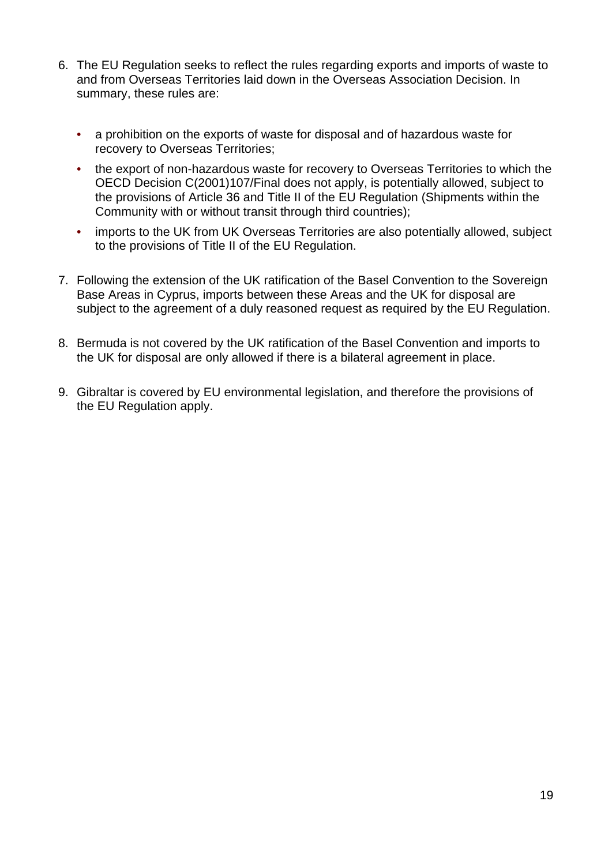- 6. The EU Regulation seeks to reflect the rules regarding exports and imports of waste to and from Overseas Territories laid down in the Overseas Association Decision. In summary, these rules are:
	- a prohibition on the exports of waste for disposal and of hazardous waste for recovery to Overseas Territories;
	- the export of non-hazardous waste for recovery to Overseas Territories to which the OECD Decision C(2001)107/Final does not apply, is potentially allowed, subject to the provisions of Article 36 and Title II of the EU Regulation (Shipments within the Community with or without transit through third countries);
	- imports to the UK from UK Overseas Territories are also potentially allowed, subject to the provisions of Title II of the EU Regulation.
- 7. Following the extension of the UK ratification of the Basel Convention to the Sovereign Base Areas in Cyprus, imports between these Areas and the UK for disposal are subject to the agreement of a duly reasoned request as required by the EU Regulation.
- 8. Bermuda is not covered by the UK ratification of the Basel Convention and imports to the UK for disposal are only allowed if there is a bilateral agreement in place.
- 9. Gibraltar is covered by EU environmental legislation, and therefore the provisions of the EU Regulation apply.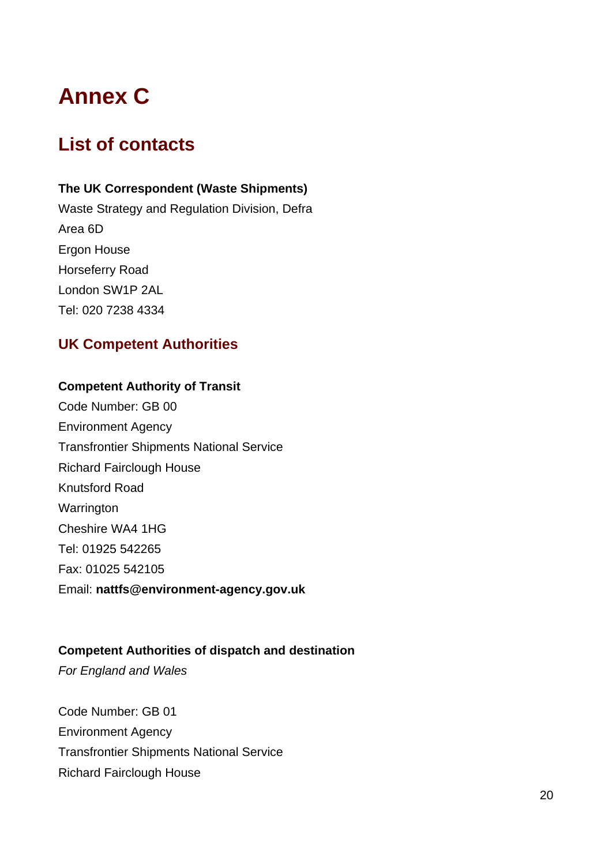# <span id="page-20-0"></span>**Annex C**

# **List of contacts**

#### **The UK Correspondent (Waste Shipments)**

Waste Strategy and Regulation Division, Defra Area 6D Ergon House Horseferry Road London SW1P 2AL Tel: 020 7238 4334

### **UK Competent Authorities**

#### **Competent Authority of Transit**

Code Number: GB 00 Environment Agency Transfrontier Shipments National Service Richard Fairclough House Knutsford Road **Warrington** Cheshire WA4 1HG Tel: 01925 542265 Fax: 01025 542105 Email: **nattfs@environment-agency.gov.uk** 

#### **Competent Authorities of dispatch and destination**

*For England and Wales* 

Code Number: GB 01 Environment Agency Transfrontier Shipments National Service Richard Fairclough House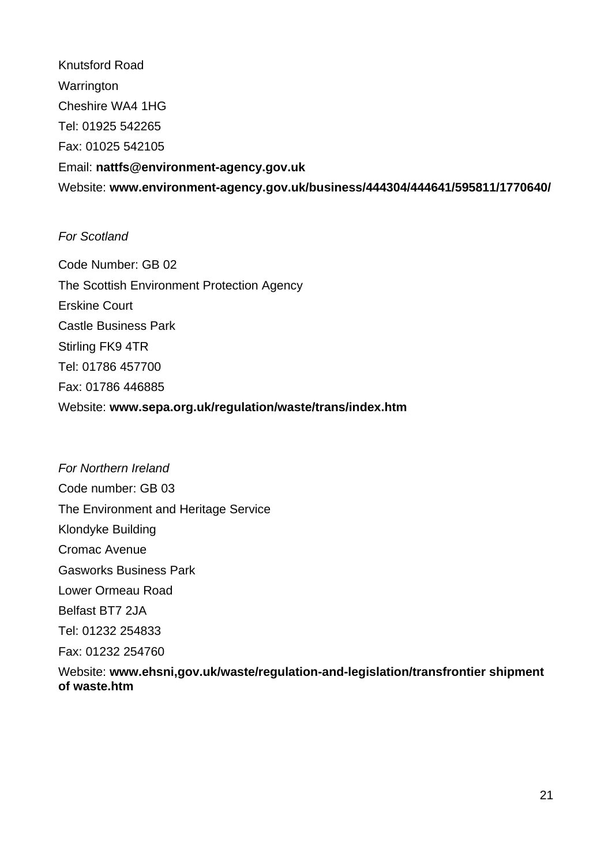Knutsford Road **Warrington** Cheshire WA4 1HG Tel: 01925 542265 Fax: 01025 542105 Email: **nattfs@environment-agency.gov.uk**  Website: **www.environment-agency.gov.uk/business/444304/444641/595811/1770640/** 

#### *For Scotland*

Code Number: GB 02 The Scottish Environment Protection Agency Erskine Court Castle Business Park Stirling FK9 4TR Tel: 01786 457700 Fax: 01786 446885 Website: **www.sepa.org.uk/regulation/waste/trans/index.htm** 

*For Northern Ireland*  Code number: GB 03 The Environment and Heritage Service Klondyke Building Cromac Avenue Gasworks Business Park Lower Ormeau Road Belfast BT7 2JA Tel: 01232 254833 Fax: 01232 254760 Website: **www.ehsni,gov.uk/waste/regulation-and-legislation/transfrontier shipment of waste.htm**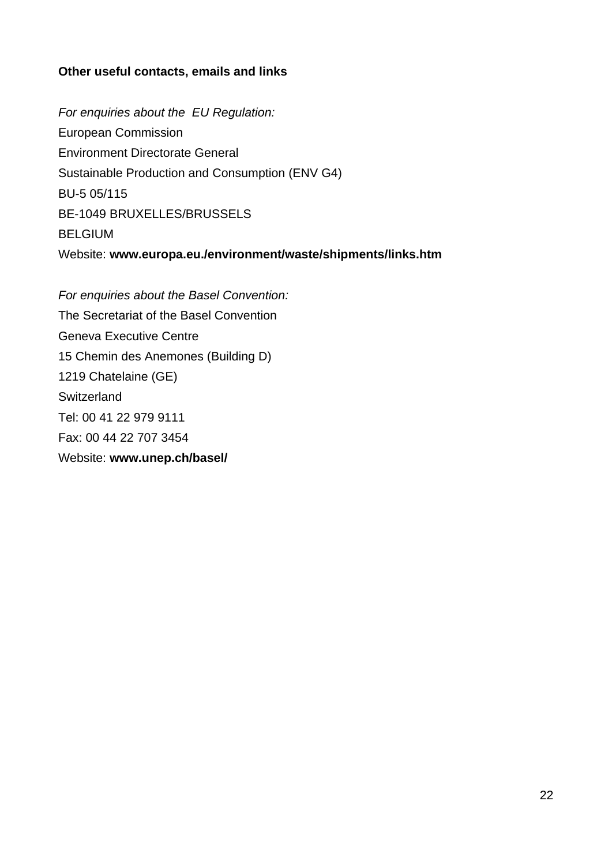#### **Other useful contacts, emails and links**

*For enquiries about the EU Regulation:*  European Commission Environment Directorate General Sustainable Production and Consumption (ENV G4) BU-5 05/115 BE-1049 BRUXELLES/BRUSSELS BELGIUM Website: **www.europa.eu./environment/waste/shipments/links.htm** 

*For enquiries about the Basel Convention:*  The Secretariat of the Basel Convention Geneva Executive Centre 15 Chemin des Anemones (Building D) 1219 Chatelaine (GE) **Switzerland** Tel: 00 41 22 979 9111 Fax: 00 44 22 707 3454 Website: **www.unep.ch/basel/**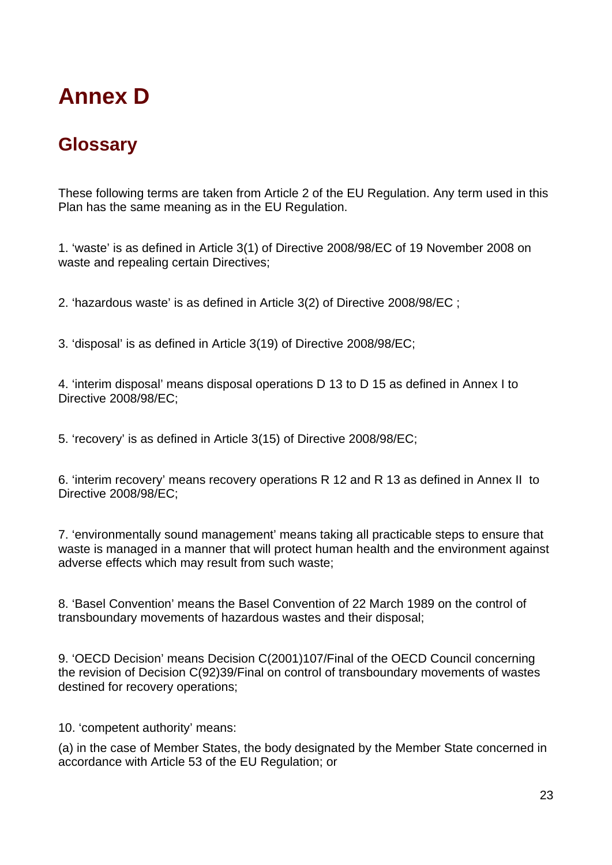# <span id="page-23-0"></span>**Annex D**

## **Glossary**

These following terms are taken from Article 2 of the EU Regulation. Any term used in this Plan has the same meaning as in the EU Regulation.

1. 'waste' is as defined in Article 3(1) of Directive 2008/98/EC of 19 November 2008 on waste and repealing certain Directives;

2. 'hazardous waste' is as defined in Article 3(2) of Directive 2008/98/EC ;

3. 'disposal' is as defined in Article 3(19) of Directive 2008/98/EC;

4. 'interim disposal' means disposal operations D 13 to D 15 as defined in Annex I to Directive 2008/98/EC;

5. 'recovery' is as defined in Article 3(15) of Directive 2008/98/EC;

6. 'interim recovery' means recovery operations R 12 and R 13 as defined in Annex II to Directive 2008/98/EC;

7. 'environmentally sound management' means taking all practicable steps to ensure that waste is managed in a manner that will protect human health and the environment against adverse effects which may result from such waste;

8. 'Basel Convention' means the Basel Convention of 22 March 1989 on the control of transboundary movements of hazardous wastes and their disposal;

9. 'OECD Decision' means Decision C(2001)107/Final of the OECD Council concerning the revision of Decision C(92)39/Final on control of transboundary movements of wastes destined for recovery operations;

10. 'competent authority' means:

(a) in the case of Member States, the body designated by the Member State concerned in accordance with Article 53 of the EU Regulation; or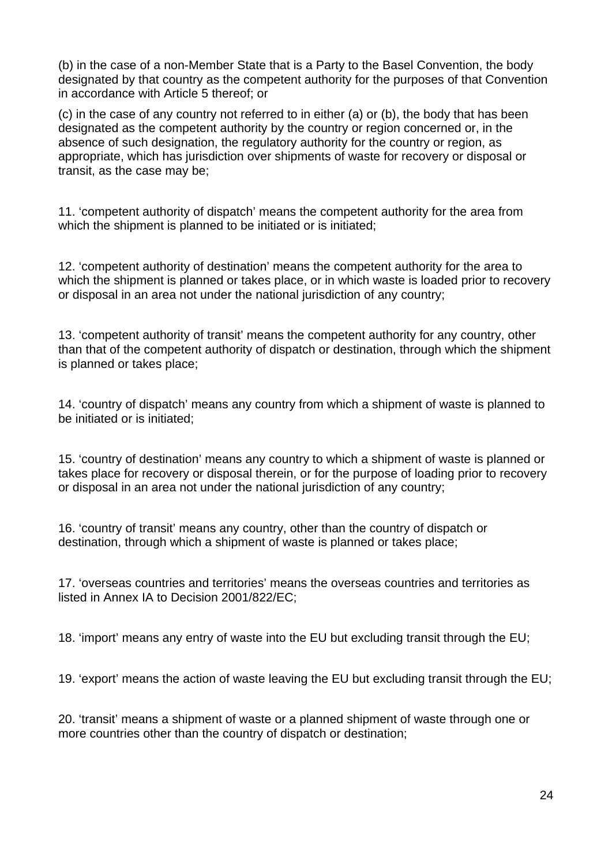(b) in the case of a non-Member State that is a Party to the Basel Convention, the body designated by that country as the competent authority for the purposes of that Convention in accordance with Article 5 thereof; or

(c) in the case of any country not referred to in either (a) or (b), the body that has been designated as the competent authority by the country or region concerned or, in the absence of such designation, the regulatory authority for the country or region, as appropriate, which has jurisdiction over shipments of waste for recovery or disposal or transit, as the case may be;

11. 'competent authority of dispatch' means the competent authority for the area from which the shipment is planned to be initiated or is initiated;

12. 'competent authority of destination' means the competent authority for the area to which the shipment is planned or takes place, or in which waste is loaded prior to recovery or disposal in an area not under the national jurisdiction of any country;

13. 'competent authority of transit' means the competent authority for any country, other than that of the competent authority of dispatch or destination, through which the shipment is planned or takes place;

14. 'country of dispatch' means any country from which a shipment of waste is planned to be initiated or is initiated;

15. 'country of destination' means any country to which a shipment of waste is planned or takes place for recovery or disposal therein, or for the purpose of loading prior to recovery or disposal in an area not under the national jurisdiction of any country;

16. 'country of transit' means any country, other than the country of dispatch or destination, through which a shipment of waste is planned or takes place;

17. 'overseas countries and territories' means the overseas countries and territories as listed in Annex IA to Decision 2001/822/EC;

18. 'import' means any entry of waste into the EU but excluding transit through the EU;

19. 'export' means the action of waste leaving the EU but excluding transit through the EU;

20. 'transit' means a shipment of waste or a planned shipment of waste through one or more countries other than the country of dispatch or destination;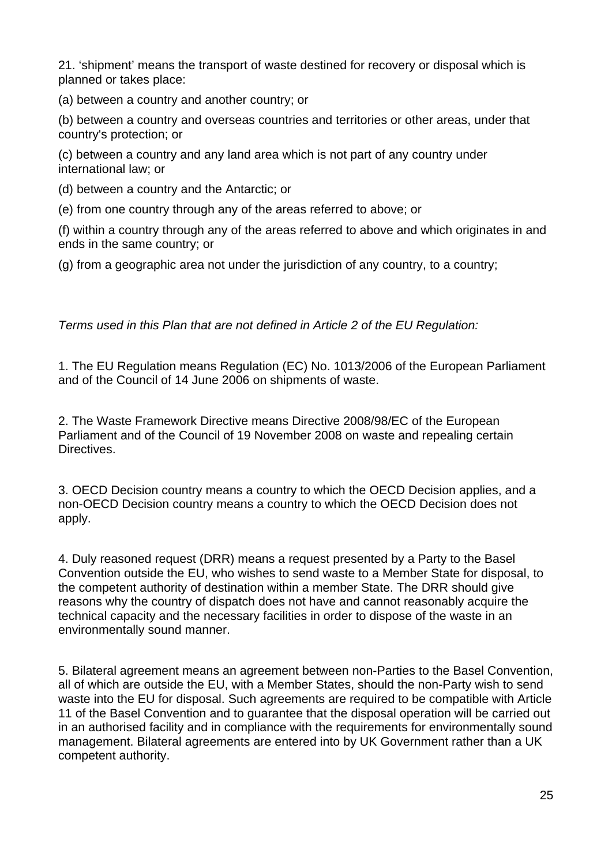21. 'shipment' means the transport of waste destined for recovery or disposal which is planned or takes place:

(a) between a country and another country; or

(b) between a country and overseas countries and territories or other areas, under that country's protection; or

(c) between a country and any land area which is not part of any country under international law; or

(d) between a country and the Antarctic; or

(e) from one country through any of the areas referred to above; or

(f) within a country through any of the areas referred to above and which originates in and ends in the same country; or

(g) from a geographic area not under the jurisdiction of any country, to a country;

*Terms used in this Plan that are not defined in Article 2 of the EU Regulation:* 

1. The EU Regulation means Regulation (EC) No. 1013/2006 of the European Parliament and of the Council of 14 June 2006 on shipments of waste.

2. The Waste Framework Directive means Directive 2008/98/EC of the European Parliament and of the Council of 19 November 2008 on waste and repealing certain Directives.

3. OECD Decision country means a country to which the OECD Decision applies, and a non-OECD Decision country means a country to which the OECD Decision does not apply.

4. Duly reasoned request (DRR) means a request presented by a Party to the Basel Convention outside the EU, who wishes to send waste to a Member State for disposal, to the competent authority of destination within a member State. The DRR should give reasons why the country of dispatch does not have and cannot reasonably acquire the technical capacity and the necessary facilities in order to dispose of the waste in an environmentally sound manner.

5. Bilateral agreement means an agreement between non-Parties to the Basel Convention, all of which are outside the EU, with a Member States, should the non-Party wish to send waste into the EU for disposal. Such agreements are required to be compatible with Article 11 of the Basel Convention and to guarantee that the disposal operation will be carried out in an authorised facility and in compliance with the requirements for environmentally sound management. Bilateral agreements are entered into by UK Government rather than a UK competent authority.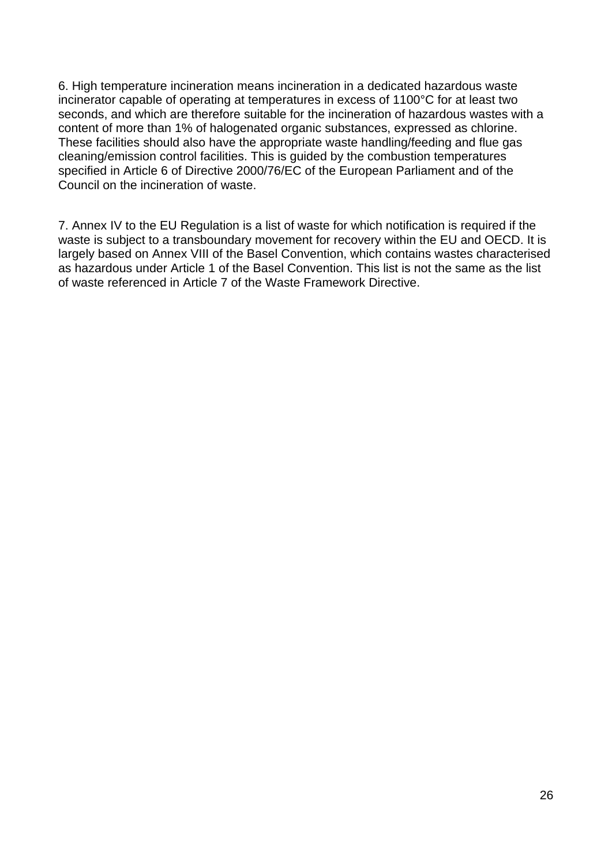6. High temperature incineration means incineration in a dedicated hazardous waste incinerator capable of operating at temperatures in excess of 1100°C for at least two seconds, and which are therefore suitable for the incineration of hazardous wastes with a content of more than 1% of halogenated organic substances, expressed as chlorine. These facilities should also have the appropriate waste handling/feeding and flue gas cleaning/emission control facilities. This is guided by the combustion temperatures specified in Article 6 of Directive 2000/76/EC of the European Parliament and of the Council on the incineration of waste.

7. Annex IV to the EU Regulation is a list of waste for which notification is required if the waste is subject to a transboundary movement for recovery within the EU and OECD. It is largely based on Annex VIII of the Basel Convention, which contains wastes characterised as hazardous under Article 1 of the Basel Convention. This list is not the same as the list of waste referenced in Article 7 of the Waste Framework Directive.